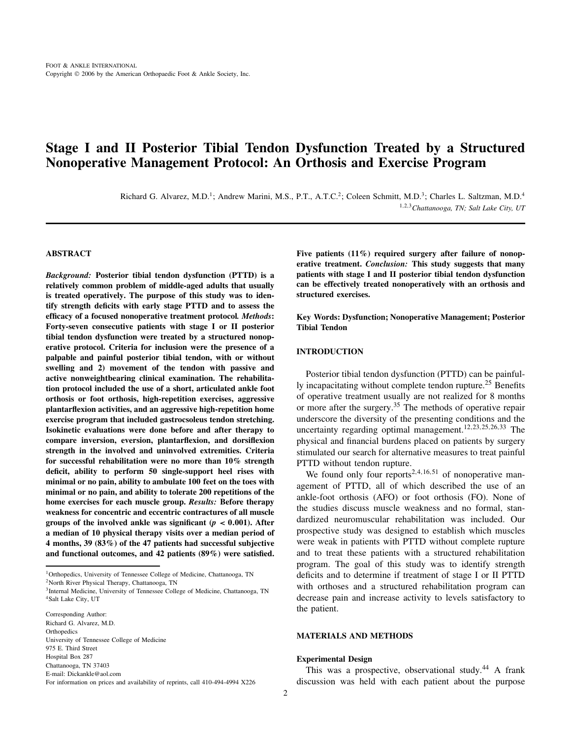# **Stage I and II Posterior Tibial Tendon Dysfunction Treated by a Structured Nonoperative Management Protocol: An Orthosis and Exercise Program**

Richard G. Alvarez, M.D.<sup>1</sup>; Andrew Marini, M.S., P.T., A.T.C.<sup>2</sup>; Coleen Schmitt, M.D.<sup>3</sup>; Charles L. Saltzman, M.D.<sup>4</sup> <sup>1</sup>,2,3*Chattanooga, TN; Salt Lake City, UT*

#### **ABSTRACT**

*Background:* **Posterior tibial tendon dysfunction (PTTD) is a relatively common problem of middle-aged adults that usually is treated operatively. The purpose of this study was to identify strength deficits with early stage PTTD and to assess the efficacy of a focused nonoperative treatment protocol***. Methods***: Forty-seven consecutive patients with stage I or II posterior tibial tendon dysfunction were treated by a structured nonoperative protocol. Criteria for inclusion were the presence of a palpable and painful posterior tibial tendon, with or without swelling and 2) movement of the tendon with passive and active nonweightbearing clinical examination. The rehabilitation protocol included the use of a short, articulated ankle foot orthosis or foot orthosis, high-repetition exercises, aggressive plantarflexion activities, and an aggressive high-repetition home exercise program that included gastrocsoleus tendon stretching. Isokinetic evaluations were done before and after therapy to compare inversion, eversion, plantarflexion, and dorsiflexion strength in the involved and uninvolved extremities. Criteria for successful rehabilitation were no more than 10% strength deficit, ability to perform 50 single-support heel rises with minimal or no pain, ability to ambulate 100 feet on the toes with minimal or no pain, and ability to tolerate 200 repetitions of the home exercises for each muscle group.** *Results:* **Before therapy weakness for concentric and eccentric contractures of all muscle groups of the involved ankle was significant (** $p < 0.001$ **). After a median of 10 physical therapy visits over a median period of 4 months, 39 (83%) of the 47 patients had successful subjective and functional outcomes, and 42 patients (89%) were satisfied.**

<sup>1</sup>Orthopedics, University of Tennessee College of Medicine, Chattanooga, TN 2North River Physical Therapy, Chattanooga, TN

3Internal Medicine, University of Tennessee College of Medicine, Chattanooga, TN <sup>4</sup>Salt Lake City, UT

Five patients (11%) required surgery after failure of nonop**erative treatment.** *Conclusion:* **This study suggests that many patients with stage I and II posterior tibial tendon dysfunction can be effectively treated nonoperatively with an orthosis and structured exercises.**

**Key Words: Dysfunction; Nonoperative Management; Posterior Tibial Tendon**

# **INTRODUCTION**

Posterior tibial tendon dysfunction (PTTD) can be painfully incapacitating without complete tendon rupture.<sup>25</sup> Benefits of operative treatment usually are not realized for 8 months or more after the surgery.<sup>35</sup> The methods of operative repair underscore the diversity of the presenting conditions and the uncertainty regarding optimal management.<sup>12,23,25,26,33</sup> The physical and financial burdens placed on patients by surgery stimulated our search for alternative measures to treat painful PTTD without tendon rupture.

We found only four reports<sup>2,4,16,51</sup> of nonoperative management of PTTD, all of which described the use of an ankle-foot orthosis (AFO) or foot orthosis (FO). None of the studies discuss muscle weakness and no formal, standardized neuromuscular rehabilitation was included. Our prospective study was designed to establish which muscles were weak in patients with PTTD without complete rupture and to treat these patients with a structured rehabilitation program. The goal of this study was to identify strength deficits and to determine if treatment of stage I or II PTTD with orthoses and a structured rehabilitation program can decrease pain and increase activity to levels satisfactory to the patient.

## **MATERIALS AND METHODS**

#### **Experimental Design**

This was a prospective, observational study.<sup>44</sup> A frank discussion was held with each patient about the purpose

Corresponding Author: Richard G. Alvarez, M.D. **Orthopedics** University of Tennessee College of Medicine 975 E. Third Street Hospital Box 287 Chattanooga, TN 37403 E-mail: Dickankle@aol.com For information on prices and availability of reprints, call 410-494-4994 X226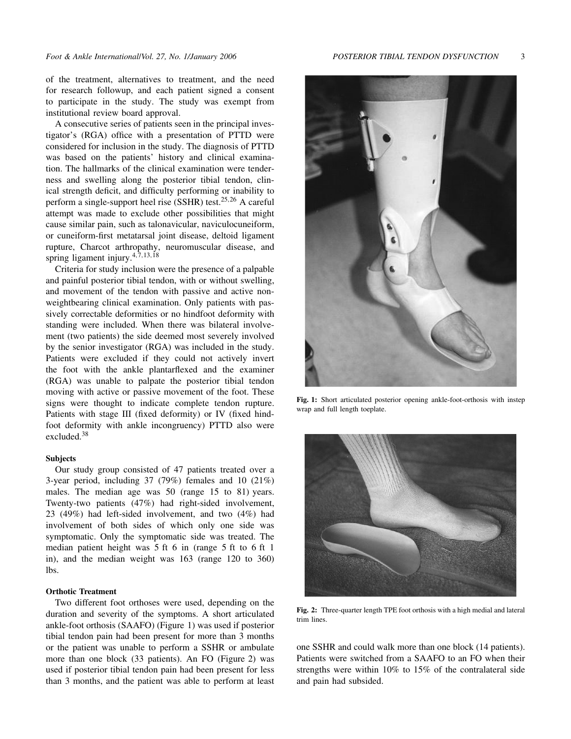of the treatment, alternatives to treatment, and the need for research followup, and each patient signed a consent to participate in the study. The study was exempt from institutional review board approval.

A consecutive series of patients seen in the principal investigator's (RGA) office with a presentation of PTTD were considered for inclusion in the study. The diagnosis of PTTD was based on the patients' history and clinical examination. The hallmarks of the clinical examination were tenderness and swelling along the posterior tibial tendon, clinical strength deficit, and difficulty performing or inability to perform a single-support heel rise (SSHR) test.25,<sup>26</sup> A careful attempt was made to exclude other possibilities that might cause similar pain, such as talonavicular, naviculocuneiform, or cuneiform-first metatarsal joint disease, deltoid ligament rupture, Charcot arthropathy, neuromuscular disease, and spring ligament injury. $4,7,13,18$ 

Criteria for study inclusion were the presence of a palpable and painful posterior tibial tendon, with or without swelling, and movement of the tendon with passive and active nonweightbearing clinical examination. Only patients with passively correctable deformities or no hindfoot deformity with standing were included. When there was bilateral involvement (two patients) the side deemed most severely involved by the senior investigator (RGA) was included in the study. Patients were excluded if they could not actively invert the foot with the ankle plantarflexed and the examiner (RGA) was unable to palpate the posterior tibial tendon moving with active or passive movement of the foot. These signs were thought to indicate complete tendon rupture. Patients with stage III (fixed deformity) or IV (fixed hindfoot deformity with ankle incongruency) PTTD also were excluded.<sup>38</sup>

# **Subjects**

Our study group consisted of 47 patients treated over a 3-year period, including 37 (79%) females and 10 (21%) males. The median age was 50 (range 15 to 81) years. Twenty-two patients (47%) had right-sided involvement, 23 (49%) had left-sided involvement, and two (4%) had involvement of both sides of which only one side was symptomatic. Only the symptomatic side was treated. The median patient height was 5 ft 6 in (range 5 ft to 6 ft 1 in), and the median weight was 163 (range 120 to 360) lbs.

# **Orthotic Treatment**

Two different foot orthoses were used, depending on the duration and severity of the symptoms. A short articulated ankle-foot orthosis (SAAFO) (Figure 1) was used if posterior tibial tendon pain had been present for more than 3 months or the patient was unable to perform a SSHR or ambulate more than one block (33 patients). An FO (Figure 2) was used if posterior tibial tendon pain had been present for less than 3 months, and the patient was able to perform at least



**Fig. 1:** Short articulated posterior opening ankle-foot-orthosis with instep wrap and full length toeplate.



**Fig. 2:** Three-quarter length TPE foot orthosis with a high medial and lateral trim lines.

one SSHR and could walk more than one block (14 patients). Patients were switched from a SAAFO to an FO when their strengths were within 10% to 15% of the contralateral side and pain had subsided.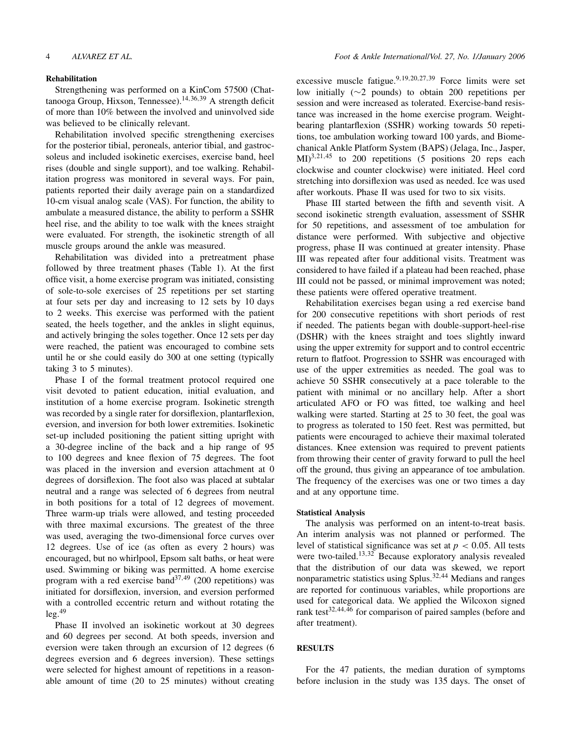#### **Rehabilitation**

Strengthening was performed on a KinCom 57500 (Chattanooga Group, Hixson, Tennessee).14,36,<sup>39</sup> A strength deficit of more than 10% between the involved and uninvolved side was believed to be clinically relevant.

Rehabilitation involved specific strengthening exercises for the posterior tibial, peroneals, anterior tibial, and gastrocsoleus and included isokinetic exercises, exercise band, heel rises (double and single support), and toe walking. Rehabilitation progress was monitored in several ways. For pain, patients reported their daily average pain on a standardized 10-cm visual analog scale (VAS). For function, the ability to ambulate a measured distance, the ability to perform a SSHR heel rise, and the ability to toe walk with the knees straight were evaluated. For strength, the isokinetic strength of all muscle groups around the ankle was measured.

Rehabilitation was divided into a pretreatment phase followed by three treatment phases (Table 1). At the first office visit, a home exercise program was initiated, consisting of sole-to-sole exercises of 25 repetitions per set starting at four sets per day and increasing to 12 sets by 10 days to 2 weeks. This exercise was performed with the patient seated, the heels together, and the ankles in slight equinus, and actively bringing the soles together. Once 12 sets per day were reached, the patient was encouraged to combine sets until he or she could easily do 300 at one setting (typically taking 3 to 5 minutes).

Phase I of the formal treatment protocol required one visit devoted to patient education, initial evaluation, and institution of a home exercise program. Isokinetic strength was recorded by a single rater for dorsiflexion, plantarflexion, eversion, and inversion for both lower extremities. Isokinetic set-up included positioning the patient sitting upright with a 30-degree incline of the back and a hip range of 95 to 100 degrees and knee flexion of 75 degrees. The foot was placed in the inversion and eversion attachment at 0 degrees of dorsiflexion. The foot also was placed at subtalar neutral and a range was selected of 6 degrees from neutral in both positions for a total of 12 degrees of movement. Three warm-up trials were allowed, and testing proceeded with three maximal excursions. The greatest of the three was used, averaging the two-dimensional force curves over 12 degrees. Use of ice (as often as every 2 hours) was encouraged, but no whirlpool, Epsom salt baths, or heat were used. Swimming or biking was permitted. A home exercise program with a red exercise band $37,49$  (200 repetitions) was initiated for dorsiflexion, inversion, and eversion performed with a controlled eccentric return and without rotating the  $leg.<sup>49</sup>$ 

Phase II involved an isokinetic workout at 30 degrees and 60 degrees per second. At both speeds, inversion and eversion were taken through an excursion of 12 degrees (6 degrees eversion and 6 degrees inversion). These settings were selected for highest amount of repetitions in a reasonable amount of time (20 to 25 minutes) without creating excessive muscle fatigue.<sup>9,19,20,27,39</sup> Force limits were set low initially (∼2 pounds) to obtain 200 repetitions per session and were increased as tolerated. Exercise-band resistance was increased in the home exercise program. Weightbearing plantarflexion (SSHR) working towards 50 repetitions, toe ambulation working toward 100 yards, and Biomechanical Ankle Platform System (BAPS) (Jelaga, Inc., Jasper,  $\text{MI}^{3,21,45}$  to 200 repetitions (5 positions 20 reps each clockwise and counter clockwise) were initiated. Heel cord stretching into dorsiflexion was used as needed. Ice was used after workouts. Phase II was used for two to six visits.

Phase III started between the fifth and seventh visit. A second isokinetic strength evaluation, assessment of SSHR for 50 repetitions, and assessment of toe ambulation for distance were performed. With subjective and objective progress, phase II was continued at greater intensity. Phase III was repeated after four additional visits. Treatment was considered to have failed if a plateau had been reached, phase III could not be passed, or minimal improvement was noted; these patients were offered operative treatment.

Rehabilitation exercises began using a red exercise band for 200 consecutive repetitions with short periods of rest if needed. The patients began with double-support-heel-rise (DSHR) with the knees straight and toes slightly inward using the upper extremity for support and to control eccentric return to flatfoot. Progression to SSHR was encouraged with use of the upper extremities as needed. The goal was to achieve 50 SSHR consecutively at a pace tolerable to the patient with minimal or no ancillary help. After a short articulated AFO or FO was fitted, toe walking and heel walking were started. Starting at 25 to 30 feet, the goal was to progress as tolerated to 150 feet. Rest was permitted, but patients were encouraged to achieve their maximal tolerated distances. Knee extension was required to prevent patients from throwing their center of gravity forward to pull the heel off the ground, thus giving an appearance of toe ambulation. The frequency of the exercises was one or two times a day and at any opportune time.

# **Statistical Analysis**

The analysis was performed on an intent-to-treat basis. An interim analysis was not planned or performed. The level of statistical significance was set at  $p < 0.05$ . All tests were two-tailed.<sup>13,32</sup> Because exploratory analysis revealed that the distribution of our data was skewed, we report nonparametric statistics using Splus.32,<sup>44</sup> Medians and ranges are reported for continuous variables, while proportions are used for categorical data. We applied the Wilcoxon signed rank test<sup>32,44,46</sup> for comparison of paired samples (before and after treatment).

## **RESULTS**

For the 47 patients, the median duration of symptoms before inclusion in the study was 135 days. The onset of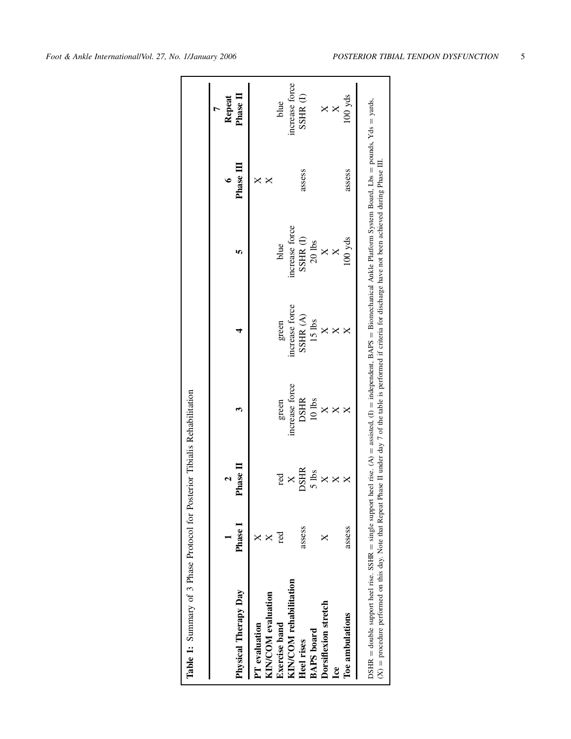| Physical Therapy Day   | Phase I | <b>Phase</b> I |               |                |                   | <b>Phase II</b> | Phase II<br>Repeat |
|------------------------|---------|----------------|---------------|----------------|-------------------|-----------------|--------------------|
| PT evaluation          |         |                |               |                |                   |                 |                    |
| KIN/COM evaluation     |         |                |               |                |                   |                 |                    |
| <b>Exercise</b> band   | g       | red            | green         | green          | blue              |                 | blue               |
| KIN/COM rehabilitation |         | $\times$       | ncrease force | increase force | increase force    |                 | ncrease force      |
| Heel rises             | assess  | <b>DSHR</b>    | <b>DSHR</b>   | SSHR(A)        | $\text{SSHR}$ (I) | assess          | $\text{SSHR}$ (I)  |
| <b>BAPS</b> board      |         | $5$ lbs        | $10$ lbs      | 15 lbs         | $20$ lbs          |                 |                    |
| Dorsiflexion stretch   |         | $\times$       | $\times$      |                | $\times$          |                 |                    |
| Lce                    |         |                |               |                |                   |                 | $\times$           |
| Toe ambulations        | assess  |                |               |                | 00yds             | assess          | $100$ yds          |

Table 1: Summary of 3 Phase Protocol for Posterior Tibialis Rehabilitation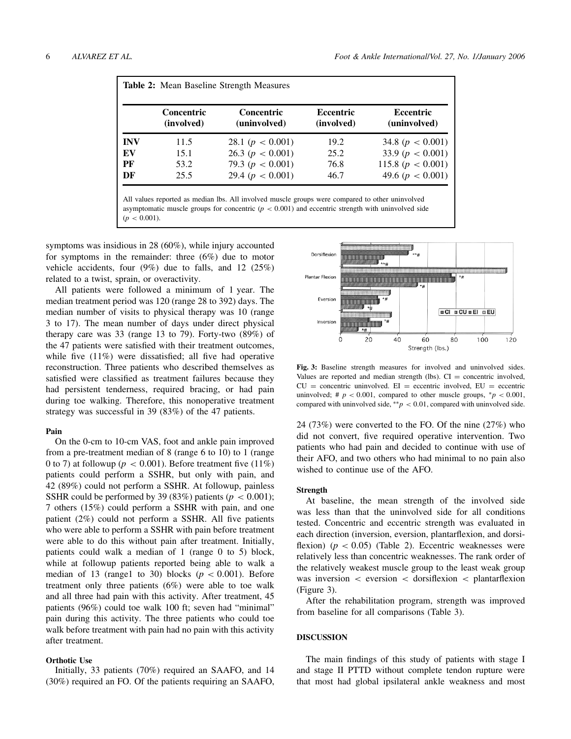|            | <b>Table 2:</b> Mean Baseline Strength Measures |                                   |                                |                                  |  |  |  |
|------------|-------------------------------------------------|-----------------------------------|--------------------------------|----------------------------------|--|--|--|
|            | <b>Concentric</b><br>(involved)                 | <b>Concentric</b><br>(uninvolved) | <b>Eccentric</b><br>(involved) | <b>Eccentric</b><br>(uninvolved) |  |  |  |
| <b>INV</b> | 11.5                                            | 28.1 ( $p < 0.001$ )              | 19.2                           | 34.8 ( $p < 0.001$ )             |  |  |  |
| EV         | 15.1                                            | 26.3 $(p < 0.001)$                | 25.2                           | 33.9 $(p < 0.001)$               |  |  |  |
| PF         | 53.2                                            | 79.3 ( $p < 0.001$ )              | 76.8                           | 115.8 $(p < 0.001)$              |  |  |  |
| DF         | 25.5                                            | 29.4 $(p < 0.001)$                | 46.7                           | 49.6 ( $p < 0.001$ )             |  |  |  |

All values reported as median lbs. All involved muscle groups were compared to other uninvolved asymptomatic muscle groups for concentric  $(p < 0.001)$  and eccentric strength with uninvolved side  $(p < 0.001)$ .

symptoms was insidious in 28 (60%), while injury accounted for symptoms in the remainder: three (6%) due to motor vehicle accidents, four (9%) due to falls, and 12 (25%) related to a twist, sprain, or overactivity.

All patients were followed a minimum of 1 year. The median treatment period was 120 (range 28 to 392) days. The median number of visits to physical therapy was 10 (range 3 to 17). The mean number of days under direct physical therapy care was 33 (range 13 to 79). Forty-two (89%) of the 47 patients were satisfied with their treatment outcomes, while five  $(11\%)$  were dissatisfied; all five had operative reconstruction. Three patients who described themselves as satisfied were classified as treatment failures because they had persistent tenderness, required bracing, or had pain during toe walking. Therefore, this nonoperative treatment strategy was successful in 39 (83%) of the 47 patients.

#### **Pain**

On the 0-cm to 10-cm VAS, foot and ankle pain improved from a pre-treatment median of 8 (range 6 to 10) to 1 (range 0 to 7) at followup ( $p < 0.001$ ). Before treatment five (11%) patients could perform a SSHR, but only with pain, and 42 (89%) could not perform a SSHR. At followup, painless SSHR could be performed by 39 (83%) patients ( $p < 0.001$ ); 7 others (15%) could perform a SSHR with pain, and one patient (2%) could not perform a SSHR. All five patients who were able to perform a SSHR with pain before treatment were able to do this without pain after treatment. Initially, patients could walk a median of 1 (range 0 to 5) block, while at followup patients reported being able to walk a median of 13 (range1 to 30) blocks  $(p < 0.001)$ . Before treatment only three patients (6%) were able to toe walk and all three had pain with this activity. After treatment, 45 patients (96%) could toe walk 100 ft; seven had "minimal" pain during this activity. The three patients who could toe walk before treatment with pain had no pain with this activity after treatment.

# **Orthotic Use**

Initially, 33 patients (70%) required an SAAFO, and 14 (30%) required an FO. Of the patients requiring an SAAFO,



**Fig. 3:** Baseline strength measures for involved and uninvolved sides. Values are reported and median strength (lbs).  $CI =$  concentric involved,  $CU =$  concentric uninvolved.  $EI =$  eccentric involved,  $EU =$  eccentric uninvolved; #  $p < 0.001$ , compared to other muscle groups,  $p < 0.001$ , compared with uninvolved side,  $* p < 0.01$ , compared with uninvolved side.

24 (73%) were converted to the FO. Of the nine (27%) who did not convert, five required operative intervention. Two patients who had pain and decided to continue with use of their AFO, and two others who had minimal to no pain also wished to continue use of the AFO.

#### **Strength**

At baseline, the mean strength of the involved side was less than that the uninvolved side for all conditions tested. Concentric and eccentric strength was evaluated in each direction (inversion, eversion, plantarflexion, and dorsiflexion)  $(p < 0.05)$  (Table 2). Eccentric weaknesses were relatively less than concentric weaknesses. The rank order of the relatively weakest muscle group to the least weak group was inversion < eversion < dorsiflexion < plantarflexion (Figure 3).

After the rehabilitation program, strength was improved from baseline for all comparisons (Table 3).

#### **DISCUSSION**

The main findings of this study of patients with stage I and stage II PTTD without complete tendon rupture were that most had global ipsilateral ankle weakness and most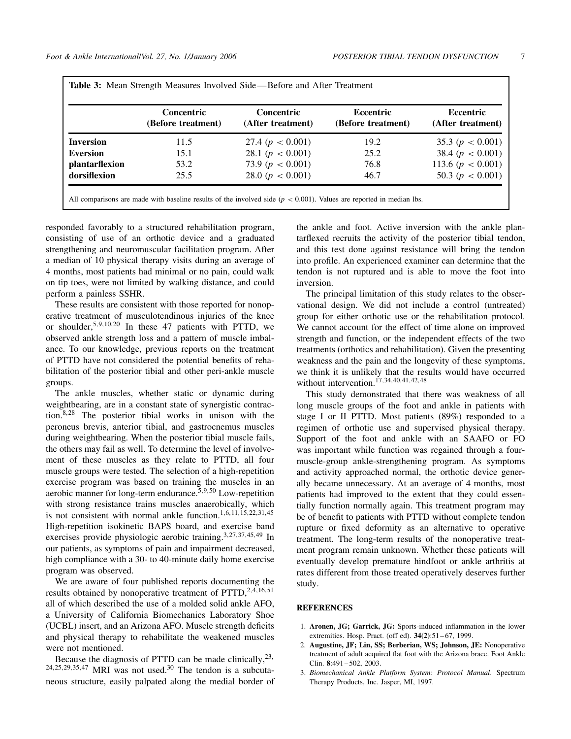|                  | Concentric<br>(Before treatment) | Concentric<br>(After treatment) | Eccentric<br>(Before treatment) | Eccentric<br>(After treatment) |
|------------------|----------------------------------|---------------------------------|---------------------------------|--------------------------------|
| <b>Inversion</b> | 11.5                             | 27.4 ( $p < 0.001$ )            | 19.2                            | 35.3 $(p < 0.001)$             |
| <b>Eversion</b>  | 15.1                             | 28.1 $(p < 0.001)$              | 25.2                            | 38.4 $(p < 0.001)$             |
| plantarflexion   | 53.2                             | 73.9 ( $p < 0.001$ )            | 76.8                            | 113.6 $(p < 0.001)$            |
| dorsifiexion     | 25.5                             | 28.0 $(p < 0.001)$              | 46.7                            | 50.3 $(p < 0.001)$             |

All comparisons are made with baseline results of the involved side  $(p < 0.001)$ . Values are reported in median lbs.

responded favorably to a structured rehabilitation program, consisting of use of an orthotic device and a graduated strengthening and neuromuscular facilitation program. After a median of 10 physical therapy visits during an average of 4 months, most patients had minimal or no pain, could walk on tip toes, were not limited by walking distance, and could perform a painless SSHR.

These results are consistent with those reported for nonoperative treatment of musculotendinous injuries of the knee or shoulder,5,9,10,<sup>20</sup> In these 47 patients with PTTD, we observed ankle strength loss and a pattern of muscle imbalance. To our knowledge, previous reports on the treatment of PTTD have not considered the potential benefits of rehabilitation of the posterior tibial and other peri-ankle muscle groups.

The ankle muscles, whether static or dynamic during weightbearing, are in a constant state of synergistic contraction.8,<sup>28</sup> The posterior tibial works in unison with the peroneus brevis, anterior tibial, and gastrocnemus muscles during weightbearing. When the posterior tibial muscle fails, the others may fail as well. To determine the level of involvement of these muscles as they relate to PTTD, all four muscle groups were tested. The selection of a high-repetition exercise program was based on training the muscles in an aerobic manner for long-term endurance.<sup>5,9,50</sup> Low-repetition with strong resistance trains muscles anaerobically, which is not consistent with normal ankle function.<sup>1,6,11,15,22,31,45</sup> High-repetition isokinetic BAPS board, and exercise band exercises provide physiologic aerobic training.<sup>3,27,37,45,49</sup> In our patients, as symptoms of pain and impairment decreased, high compliance with a 30- to 40-minute daily home exercise program was observed.

We are aware of four published reports documenting the results obtained by nonoperative treatment of  $PTTD<sub>,2,4,16,51</sub>$ </sub> all of which described the use of a molded solid ankle AFO, a University of California Biomechanics Laboratory Shoe (UCBL) insert, and an Arizona AFO. Muscle strength deficits and physical therapy to rehabilitate the weakened muscles were not mentioned.

Because the diagnosis of PTTD can be made clinically,  $23$ ,  $24,25,29,35,47$  MRI was not used.<sup>30</sup> The tendon is a subcutaneous structure, easily palpated along the medial border of the ankle and foot. Active inversion with the ankle plantarflexed recruits the activity of the posterior tibial tendon, and this test done against resistance will bring the tendon into profile. An experienced examiner can determine that the tendon is not ruptured and is able to move the foot into inversion.

The principal limitation of this study relates to the observational design. We did not include a control (untreated) group for either orthotic use or the rehabilitation protocol. We cannot account for the effect of time alone on improved strength and function, or the independent effects of the two treatments (orthotics and rehabilitation). Given the presenting weakness and the pain and the longevity of these symptoms, we think it is unlikely that the results would have occurred without intervention.<sup>17,34,40,41,42,48</sup>

This study demonstrated that there was weakness of all long muscle groups of the foot and ankle in patients with stage I or II PTTD. Most patients (89%) responded to a regimen of orthotic use and supervised physical therapy. Support of the foot and ankle with an SAAFO or FO was important while function was regained through a fourmuscle-group ankle-strengthening program. As symptoms and activity approached normal, the orthotic device generally became unnecessary. At an average of 4 months, most patients had improved to the extent that they could essentially function normally again. This treatment program may be of benefit to patients with PTTD without complete tendon rupture or fixed deformity as an alternative to operative treatment. The long-term results of the nonoperative treatment program remain unknown. Whether these patients will eventually develop premature hindfoot or ankle arthritis at rates different from those treated operatively deserves further study.

#### **REFERENCES**

- 1. **Aronen, JG; Garrick, JG:** Sports-induced inflammation in the lower extremities. Hosp. Pract. (off ed). **34(2)**:51 – 67, 1999.
- 2. **Augustine, JF; Lin, SS; Berberian, WS; Johnson, JE:** Nonoperative treatment of adult acquired flat foot with the Arizona brace. Foot Ankle Clin. **8**:491 – 502, 2003.
- 3. *Biomechanical Ankle Platform System: Protocol Manual*. Spectrum Therapy Products, Inc. Jasper, MI, 1997.